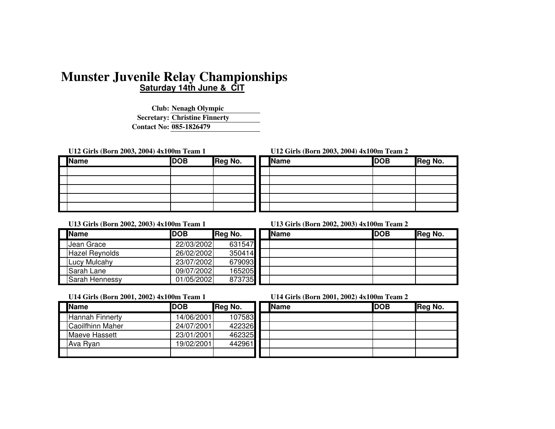# **Saturday 14th June & CITMunster Juvenile Relay Championships**

**Club:Nenagh Olympic Secretary: Christine FinnertyContact No:085-1826479**

**U12 Girls (Born 2003, 2004) 4x100m Team 1 U12 Girls (Born 2003, 2004) 4x100m Team 2**

| Name | <b>DOB</b> | <b>Reg No.</b> |
|------|------------|----------------|
|      |            |                |
|      |            |                |
|      |            |                |
|      |            |                |
|      |            |                |

| Name | <b>DOB</b> | <b>Reg No.</b> | <b>Name</b> | <b>DOB</b> | Reg No. |
|------|------------|----------------|-------------|------------|---------|
|      |            |                |             |            |         |
|      |            |                |             |            |         |
|      |            |                |             |            |         |
|      |            |                |             |            |         |
|      |            |                |             |            |         |

## **U13 Girls (Born 2002, 2003) 4x100m Team 1 U13 Girls (Born 2002, 2003) 4x100m Team 2**

| <b>Name</b>           | <b>DOB</b> | Reg No. | <b>Name</b> | <b>IDOB</b> | Reg No. |
|-----------------------|------------|---------|-------------|-------------|---------|
| <b>Jean Grace</b>     | 22/03/2002 | 631547  |             |             |         |
| <b>Hazel Reynolds</b> | 26/02/2002 | 350414  |             |             |         |
| <b>ILucy Mulcahy</b>  | 23/07/2002 | 679093  |             |             |         |
| <b>Sarah Lane</b>     | 09/07/2002 | 165205  |             |             |         |
| <b>Sarah Hennessy</b> | 01/05/2002 | 873735  |             |             |         |

| Name | <b>DOB</b> | Reg No. |
|------|------------|---------|
|      |            |         |
|      |            |         |
|      |            |         |
|      |            |         |
|      |            |         |

## **U14 Girls (Born 2001, 2002) 4x100m Team 1 U14 Girls (Born 2001, 2002) 4x100m Team 2**

| <b>Name</b>            | <b>DOB</b> | Reg No. | <b>Name</b> | <b>IDOB</b> | Reg No. |
|------------------------|------------|---------|-------------|-------------|---------|
| <b>Hannah Finnerty</b> | 14/06/2001 | 107583  |             |             |         |
| Caoilfhinn Maher       | 24/07/2001 | 422326  |             |             |         |
| Maeve Hassett          | 23/01/2001 | 462325  |             |             |         |
| Ava Ryan               | 19/02/2001 | 442961  |             |             |         |
|                        |            |         |             |             |         |

| Name | <b>DOB</b> | Reg No. |
|------|------------|---------|
|      |            |         |
|      |            |         |
|      |            |         |
|      |            |         |
|      |            |         |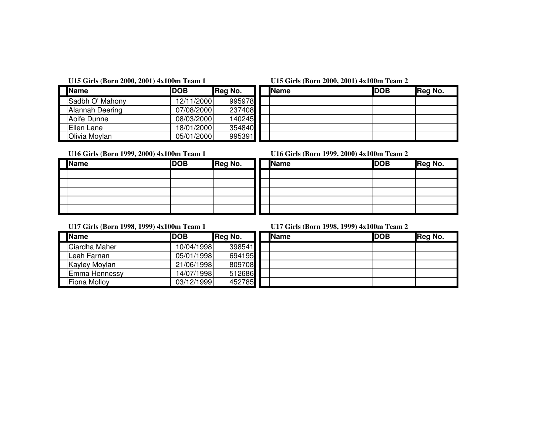## **U15 Girls (Born 2000, 2001) 4x100m Team 1 U15 Girls (Born 2000, 2001) 4x100m Team 2**

| <b>Name</b>            | <b>DOB</b> | Reg No. | <b>IName</b> | <b>DOB</b> | Reg No. |
|------------------------|------------|---------|--------------|------------|---------|
| Sadbh O' Mahony        | 12/11/2000 | 995978  |              |            |         |
| <b>Alannah Deering</b> | 07/08/2000 | 237408  |              |            |         |
| Aoife Dunne            | 08/03/2000 | 140245  |              |            |         |
| Ellen Lane             | 18/01/2000 | 354840  |              |            |         |
| Olivia Moylan          | 05/01/2000 | 995391  |              |            |         |

| Name | <b>DOB</b> | Reg No. |
|------|------------|---------|
|      |            |         |
|      |            |         |
|      |            |         |
|      |            |         |
|      |            |         |

**U16 Girls (Born 1999, 2000) 4x100m Team 1 U16 Girls (Born 1999, 2000) 4x100m Team 2**

| U16 Girls (Born 1999, 2000) 4x100m Team 2 |  |  |  |
|-------------------------------------------|--|--|--|
|                                           |  |  |  |

| Name | <b>DOB</b> | Reg No. | Name | <b>DOB</b> | Reg No. |
|------|------------|---------|------|------------|---------|
|      |            |         |      |            |         |
|      |            |         |      |            |         |
|      |            |         |      |            |         |
|      |            |         |      |            |         |
|      |            |         |      |            |         |

| Name | <b>DOB</b> | Reg No. |
|------|------------|---------|
|      |            |         |
|      |            |         |
|      |            |         |
|      |            |         |
|      |            |         |

**U17 Girls (Born 1998, 1999) 4x100m Team 1 U17 Girls (Born 1998, 1999) 4x100m Team 2**

| <b>Name</b>         | <b>IDOB</b> | Reg No. | <b>Name</b> | <b>IDOB</b> | Reg No. |
|---------------------|-------------|---------|-------------|-------------|---------|
| Ciardha Maher       | 10/04/1998  | 398541  |             |             |         |
| ILeah Farnan        | 05/01/1998  | 694195  |             |             |         |
| Kayley Moylan       | 21/06/1998  | 809708  |             |             |         |
| Emma Hennessy       | 14/07/1998  | 512686  |             |             |         |
| <b>Fiona Mollov</b> | 03/12/1999  | 452785  |             |             |         |

| Name | <b>DOB</b> | Reg No. |
|------|------------|---------|
|      |            |         |
|      |            |         |
|      |            |         |
|      |            |         |
|      |            |         |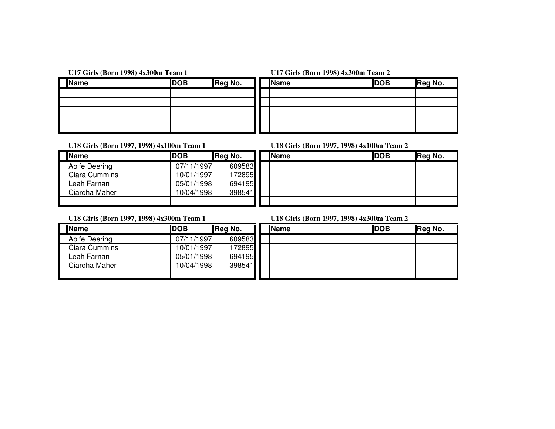## **U17 Girls (Born 1998) 4x300m Team 1 U17 Girls (Born 1998) 4x300m Team 2**

| Name | <b>DOB</b> | Reg No. |
|------|------------|---------|
|      |            |         |
|      |            |         |
|      |            |         |
|      |            |         |
|      |            |         |

| Name | <b>DOB</b> | Reg No. | Name | <b>DOB</b> | Reg No. |
|------|------------|---------|------|------------|---------|
|      |            |         |      |            |         |
|      |            |         |      |            |         |
|      |            |         |      |            |         |
|      |            |         |      |            |         |
|      |            |         |      |            |         |

## **U18 Girls (Born 1997, 1998) 4x100m Team 1 U18 Girls (Born 1997, 1998) 4x100m Team 2**

| <b>Name</b>          | <b>DOB</b> | Reg No. | <b>Name</b> | <b>IDOB</b> | Reg No. |
|----------------------|------------|---------|-------------|-------------|---------|
| <b>Aoife Deering</b> | 07/11/1997 | 609583  |             |             |         |
| Ciara Cummins        | 10/01/1997 | 172895  |             |             |         |
| Leah Farnan          | 05/01/1998 | 694195  |             |             |         |
| Ciardha Maher        | 10/04/1998 | 398541  |             |             |         |
|                      |            |         |             |             |         |

| <b>Name</b> | <b>DOB</b> | Reg No. |
|-------------|------------|---------|
|             |            |         |
|             |            |         |
|             |            |         |
|             |            |         |
|             |            |         |

**U18 Girls (Born 1997, 1998) 4x300m Team 1 U18 Girls (Born 1997, 1998) 4x300m Team 2**

| <b>Name</b>          | <b>DOB</b> | Reg No. |
|----------------------|------------|---------|
| Aoife Deering        | 07/11/1997 | 609583  |
| <b>Ciara Cummins</b> | 10/01/1997 | 172895  |
| Leah Farnan          | 05/01/1998 | 694195  |
| Ciardha Maher        | 10/04/1998 | 398541  |
|                      |            |         |

| Name          | <b>DOB</b> | Reg No. | <b>Name</b> | <b>DOB</b> | Reg No. |
|---------------|------------|---------|-------------|------------|---------|
| Aoife Deering | 07/11/1997 | 609583  |             |            |         |
| Ciara Cummins | 10/01/1997 | 172895  |             |            |         |
| Leah Farnan   | 05/01/1998 | 694195  |             |            |         |
| Ciardha Maher | 10/04/1998 | 398541  |             |            |         |
|               |            |         |             |            |         |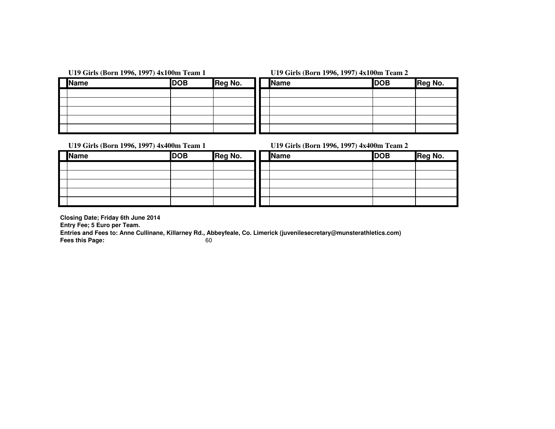|             | U19 Girls (Born 1996, 1997) 4x100m Team 1 | U19 Girls (Born 1996, 1997) 4x100m Team 2 |             |            |  |
|-------------|-------------------------------------------|-------------------------------------------|-------------|------------|--|
| <b>Name</b> | <b>DOB</b>                                | Reg No.                                   | <b>Name</b> | <b>DOB</b> |  |
|             |                                           |                                           |             |            |  |
|             |                                           |                                           |             |            |  |
|             |                                           |                                           |             |            |  |
|             |                                           |                                           |             |            |  |
|             |                                           |                                           |             |            |  |

| Name | <b>DOB</b> | Reg No. | <b>Name</b> | <b>DOB</b> | Reg No. |
|------|------------|---------|-------------|------------|---------|
|      |            |         |             |            |         |
|      |            |         |             |            |         |
|      |            |         |             |            |         |
|      |            |         |             |            |         |
|      |            |         |             |            |         |

## **U19 Girls (Born 1996, 1997) 4x400m Team 1 U19 Girls (Born 1996, 1997) 4x400m Team 2**

| <b>Name</b> | <b>DOB</b> | Reg No. |
|-------------|------------|---------|
|             |            |         |
|             |            |         |
|             |            |         |
|             |            |         |
|             |            |         |

| Name | <b>DOB</b> | Reg No. | Name | <b>DOB</b> | Reg No. |
|------|------------|---------|------|------------|---------|
|      |            |         |      |            |         |
|      |            |         |      |            |         |
|      |            |         |      |            |         |
|      |            |         |      |            |         |
|      |            |         |      |            |         |

**Closing Date; Friday 6th June 2014**

**Entry Fee; 5 Euro per Team.**

 **Entries and Fees to: Anne Cullinane, Killarney Rd., Abbeyfeale, Co. Limerick (juvenilesecretary@munsterathletics.com)Fees this Page:**60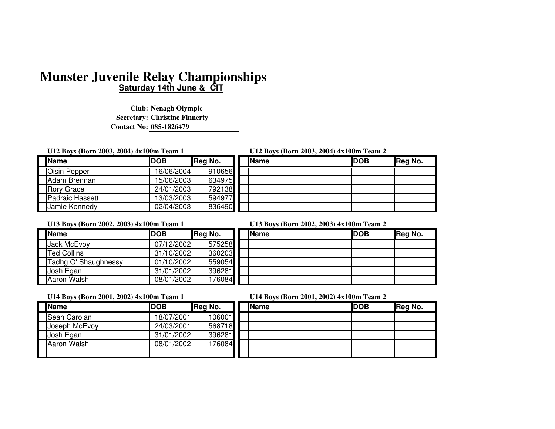# **Saturday 14th June & CITMunster Juvenile Relay Championships**

**Club:Nenagh Olympic Secretary: Christine FinnertyContact No:085-1826479**

**U12 Boys (Born 2003, 2004) 4x100m Team 1 U12 Boys (Born 2003, 2004) 4x100m Team 2**

| Name                   | <b>DOB</b> | Reg No. |
|------------------------|------------|---------|
| <b>Oisin Pepper</b>    | 16/06/2004 | 910656  |
| Adam Brennan           | 15/06/2003 | 634975  |
| <b>Rory Grace</b>      | 24/01/2003 | 792138  |
| <b>Padraic Hassett</b> | 13/03/2003 | 594977  |
| Jamie Kennedy          | 02/04/2003 | 836490  |

| Name            | <b>DOB</b> | Reg No. | <b>Name</b> | <b>DOB</b> | Reg No. |
|-----------------|------------|---------|-------------|------------|---------|
| Oisin Pepper    | 16/06/2004 | 910656  |             |            |         |
| Adam Brennan    | 15/06/2003 | 634975  |             |            |         |
| Rorv Grace      | 24/01/2003 | 792138  |             |            |         |
| Padraic Hassett | 13/03/2003 | 594977  |             |            |         |
| Jamie Kennedv   | 02/04/2003 | 836490  |             |            |         |

| <b>IName</b>         | <b>DOB</b> | Reg No. | <b>Name</b> | <b>DOB</b> | Reg No. |
|----------------------|------------|---------|-------------|------------|---------|
| <b>Jack McEvoy</b>   | 07/12/2002 | 575258  |             |            |         |
| <b>Ted Collins</b>   | 31/10/2002 | 360203  |             |            |         |
| Tadhg O' Shaughnessy | 01/10/2002 | 559054  |             |            |         |
| Josh Egan            | 31/01/2002 | 396281  |             |            |         |
| Aaron Walsh          | 08/01/2002 | 176084  |             |            |         |

## **U13 Boys (Born 2002, 2003) 4x100m Team 1 U13 Boys (Born 2002, 2003) 4x100m Team 2**

| Name | <b>DOB</b> | Reg No. |
|------|------------|---------|
|      |            |         |
|      |            |         |
|      |            |         |
|      |            |         |
|      |            |         |

## **U14 Boys (Born 2001, 2002) 4x100m Team 1 U14 Boys (Born 2001, 2002) 4x100m Team 2**

|--|

| <b>Name</b>   | <b>DOB</b> | Reg No. | Nar |
|---------------|------------|---------|-----|
| Sean Carolan  | 18/07/2001 | 106001  |     |
| Joseph McEvoy | 24/03/2001 | 568718  |     |
| Josh Egan     | 31/01/2002 | 396281  |     |
| Aaron Walsh   | 08/01/2002 | 176084  |     |
|               |            |         |     |

| $\frac{1}{2}$ | $C_{1}$ , $D_{2}$ , $D_{3}$ , $D_{4}$ , $D_{5}$ , $D_{6}$ , $D_{7}$ , $D_{8}$ , $D_{9}$ , $D_{1}$ , $D_{1}$ , $D_{2}$ , $D_{3}$ |         |              |  |             |         |
|---------------|---------------------------------------------------------------------------------------------------------------------------------|---------|--------------|--|-------------|---------|
| Name          | <b>IDOB</b>                                                                                                                     | Reg No. | <b>IName</b> |  | <b>IDOB</b> | Reg No. |
| Sean Carolan  | 18/07/2001                                                                                                                      | 106001  |              |  |             |         |
| Joseph McEvoy | 24/03/2001                                                                                                                      | 568718  |              |  |             |         |
| Josh Egan     | 31/01/2002                                                                                                                      | 396281  |              |  |             |         |
| Aaron Walsh   | 08/01/2002                                                                                                                      | 176084  |              |  |             |         |
|               |                                                                                                                                 |         |              |  |             |         |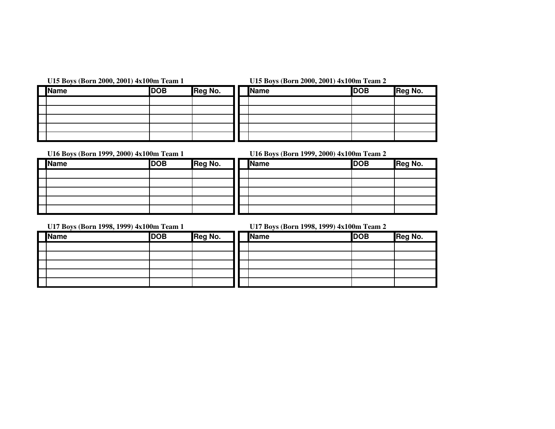| <b>Name</b> | <b>DOB</b> | Reg No. |
|-------------|------------|---------|
|             |            |         |
|             |            |         |
|             |            |         |
|             |            |         |
|             |            |         |

**U15 Boys (Born 2000, 2001) 4x100m Team 1 U15 Boys (Born 2000, 2001) 4x100m Team 2**

| Name | <b>DOB</b> | Reg No. | <b>Name</b> | <b>DOB</b> | Reg No. |
|------|------------|---------|-------------|------------|---------|
|      |            |         |             |            |         |
|      |            |         |             |            |         |
|      |            |         |             |            |         |
|      |            |         |             |            |         |
|      |            |         |             |            |         |

**U16 Boys (Born 1999, 2000) 4x100m Team 1 U16 Boys (Born 1999, 2000) 4x100m Team 2**

| <b>Name</b> | <b>DOB</b> | Reg No. | <b>Name</b> | <b>DOB</b> | Reg No. |
|-------------|------------|---------|-------------|------------|---------|
|             |            |         |             |            |         |
|             |            |         |             |            |         |
|             |            |         |             |            |         |
|             |            |         |             |            |         |
|             |            |         |             |            |         |

| <b>I</b> Name | <b>I</b> DOR | <b>I</b> Heg No. |
|---------------|--------------|------------------|
|               |              |                  |
|               |              |                  |
|               |              |                  |
|               |              |                  |
|               |              |                  |

 $\overline{\phantom{0}}$ 

**U17 Boys (Born 1998, 1999) 4x100m Team 1 U17 Boys (Born 1998, 1999) 4x100m Team 2**

| Reg No. |
|---------|
|         |
|         |
|         |
|         |
|         |
|         |
|         |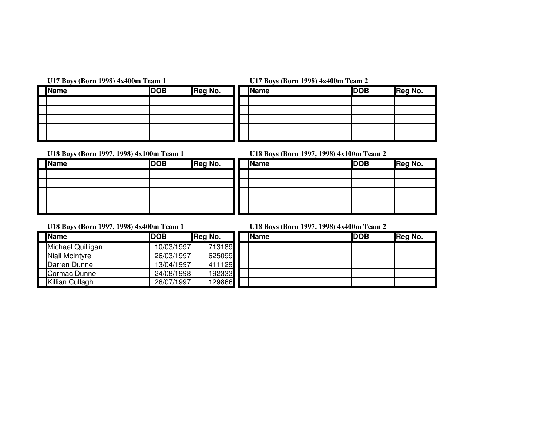## **U17 Boys (Born 1998) 4x400m Team 1 U17 Boys (Born 1998) 4x400m Team 2**

| <b>Name</b> | <b>DOB</b> | Reg No. |
|-------------|------------|---------|
|             |            |         |
|             |            |         |
|             |            |         |
|             |            |         |
|             |            |         |

| Name | <b>DOB</b> | Reg No. | <b>Name</b> | <b>DOB</b> | Reg No. |
|------|------------|---------|-------------|------------|---------|
|      |            |         |             |            |         |
|      |            |         |             |            |         |
|      |            |         |             |            |         |
|      |            |         |             |            |         |
|      |            |         |             |            |         |

| Name | <b>DOB</b> | Reg No. | <b>Name</b> | <b>DOB</b> | Reg No. |
|------|------------|---------|-------------|------------|---------|
|      |            |         |             |            |         |
|      |            |         |             |            |         |
|      |            |         |             |            |         |
|      |            |         |             |            |         |
|      |            |         |             |            |         |

**U18 Boys (Born 1997, 1998) 4x100m Team 1 U18 Boys (Born 1997, 1998) 4x100m Team 2**

| Name | <b>DOB</b> | Reg No. |
|------|------------|---------|
|      |            |         |
|      |            |         |
|      |            |         |
|      |            |         |
|      |            |         |

**U18 Boys (Born 1997, 1998) 4x400m Team 1 U18 Boys (Born 1997, 1998) 4x400m Team 2**

| <b>Name</b>       | <b>IDOB</b> | Reg No. | <b>Name</b> | <b>DOB</b> | Reg No. |
|-------------------|-------------|---------|-------------|------------|---------|
| Michael Quilligan | 10/03/1997  | 713189  |             |            |         |
| Niall McIntyre    | 26/03/1997  | 625099  |             |            |         |
| Darren Dunne      | 13/04/1997  | 411129  |             |            |         |
| Cormac Dunne      | 24/08/1998  | 192333  |             |            |         |
| Killian Cullagh   | 26/07/1997  | 129866  |             |            |         |